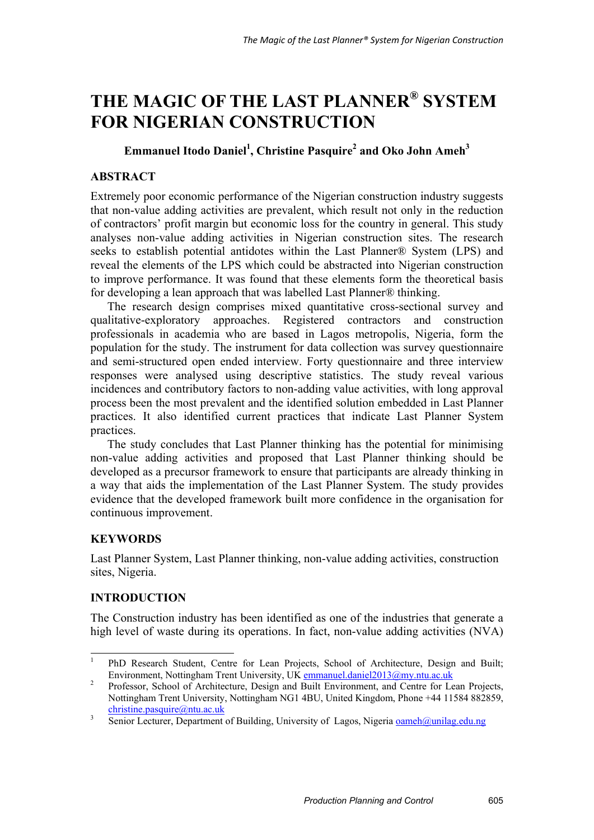# **THE MAGIC OF THE LAST PLANNER® SYSTEM FOR NIGERIAN CONSTRUCTION**

# **Emmanuel Itodo Daniel<sup>1</sup> , Christine Pasquire<sup>2</sup> and Oko John Ameh3**

## **ABSTRACT**

Extremely poor economic performance of the Nigerian construction industry suggests that non-value adding activities are prevalent, which result not only in the reduction of contractors' profit margin but economic loss for the country in general. This study analyses non-value adding activities in Nigerian construction sites. The research seeks to establish potential antidotes within the Last Planner® System (LPS) and reveal the elements of the LPS which could be abstracted into Nigerian construction to improve performance. It was found that these elements form the theoretical basis for developing a lean approach that was labelled Last Planner® thinking.

The research design comprises mixed quantitative cross-sectional survey and qualitative-exploratory approaches. Registered contractors and construction professionals in academia who are based in Lagos metropolis, Nigeria, form the population for the study. The instrument for data collection was survey questionnaire and semi-structured open ended interview. Forty questionnaire and three interview responses were analysed using descriptive statistics. The study reveal various incidences and contributory factors to non-adding value activities, with long approval process been the most prevalent and the identified solution embedded in Last Planner practices. It also identified current practices that indicate Last Planner System practices.

The study concludes that Last Planner thinking has the potential for minimising non-value adding activities and proposed that Last Planner thinking should be developed as a precursor framework to ensure that participants are already thinking in a way that aids the implementation of the Last Planner System. The study provides evidence that the developed framework built more confidence in the organisation for continuous improvement.

# **KEYWORDS**

Last Planner System, Last Planner thinking, non-value adding activities, construction sites, Nigeria.

# **INTRODUCTION**

The Construction industry has been identified as one of the industries that generate a high level of waste during its operations. In fact, non-value adding activities (NVA)

 $\frac{1}{1}$  PhD Research Student, Centre for Lean Projects, School of Architecture, Design and Built; Environment, Nottingham Trent University, UK emmanuel.daniel2013@my.ntu.ac.uk<br><sup>2</sup> Professor, School of Architecture, Design and Duilt Environment, and Centre for Le

Professor, School of Architecture, Design and Built Environment, and Centre for Lean Projects, Nottingham Trent University, Nottingham NG1 4BU, United Kingdom, Phone +44 11584 882859, christine.pasquire@ntu.ac.uk

Senior Lecturer, Department of Building, University of Lagos, Nigeria oameh@unilag.edu.ng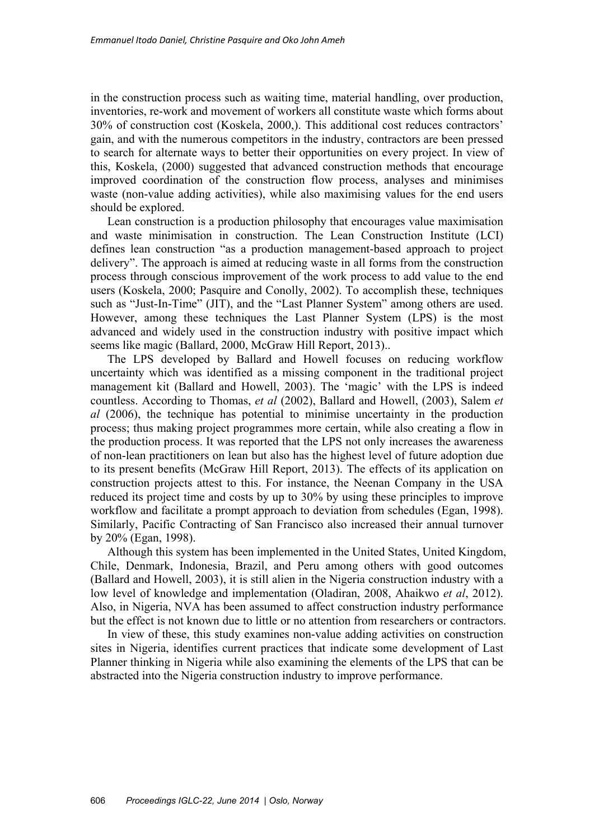in the construction process such as waiting time, material handling, over production, inventories, re-work and movement of workers all constitute waste which forms about 30% of construction cost (Koskela, 2000,). This additional cost reduces contractors' gain, and with the numerous competitors in the industry, contractors are been pressed to search for alternate ways to better their opportunities on every project. In view of this, Koskela, (2000) suggested that advanced construction methods that encourage improved coordination of the construction flow process, analyses and minimises waste (non-value adding activities), while also maximising values for the end users should be explored.

Lean construction is a production philosophy that encourages value maximisation and waste minimisation in construction. The Lean Construction Institute (LCI) defines lean construction "as a production management-based approach to project delivery". The approach is aimed at reducing waste in all forms from the construction process through conscious improvement of the work process to add value to the end users (Koskela, 2000; Pasquire and Conolly, 2002). To accomplish these, techniques such as "Just-In-Time" (JIT), and the "Last Planner System" among others are used. However, among these techniques the Last Planner System (LPS) is the most advanced and widely used in the construction industry with positive impact which seems like magic (Ballard, 2000, McGraw Hill Report, 2013)..

The LPS developed by Ballard and Howell focuses on reducing workflow uncertainty which was identified as a missing component in the traditional project management kit (Ballard and Howell, 2003). The 'magic' with the LPS is indeed countless. According to Thomas, *et al* (2002), Ballard and Howell, (2003), Salem *et al* (2006), the technique has potential to minimise uncertainty in the production process; thus making project programmes more certain, while also creating a flow in the production process. It was reported that the LPS not only increases the awareness of non-lean practitioners on lean but also has the highest level of future adoption due to its present benefits (McGraw Hill Report, 2013). The effects of its application on construction projects attest to this. For instance, the Neenan Company in the USA reduced its project time and costs by up to 30% by using these principles to improve workflow and facilitate a prompt approach to deviation from schedules (Egan, 1998). Similarly, Pacific Contracting of San Francisco also increased their annual turnover by 20% (Egan, 1998).

Although this system has been implemented in the United States, United Kingdom, Chile, Denmark, Indonesia, Brazil, and Peru among others with good outcomes (Ballard and Howell, 2003), it is still alien in the Nigeria construction industry with a low level of knowledge and implementation (Oladiran, 2008, Ahaikwo *et al*, 2012). Also, in Nigeria, NVA has been assumed to affect construction industry performance but the effect is not known due to little or no attention from researchers or contractors.

In view of these, this study examines non-value adding activities on construction sites in Nigeria, identifies current practices that indicate some development of Last Planner thinking in Nigeria while also examining the elements of the LPS that can be abstracted into the Nigeria construction industry to improve performance.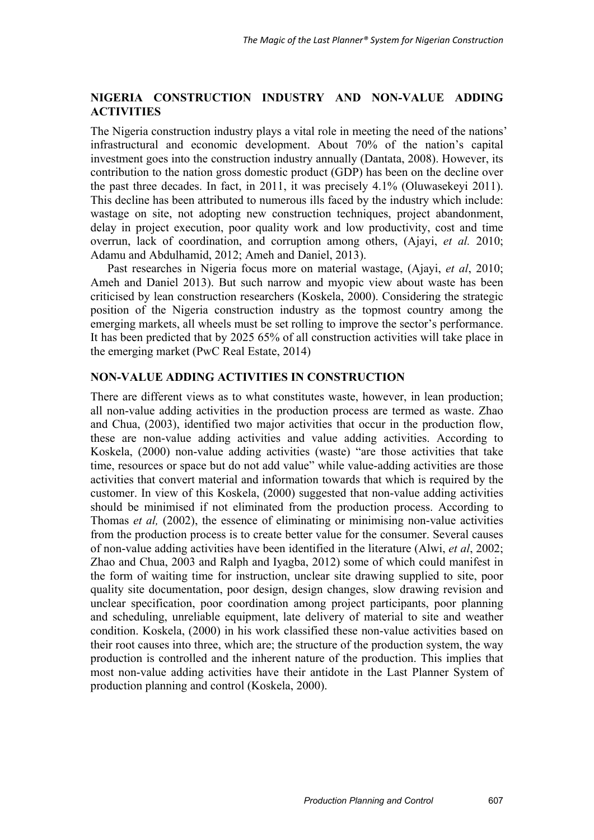#### **NIGERIA CONSTRUCTION INDUSTRY AND NON-VALUE ADDING ACTIVITIES**

The Nigeria construction industry plays a vital role in meeting the need of the nations' infrastructural and economic development. About 70% of the nation's capital investment goes into the construction industry annually (Dantata, 2008). However, its contribution to the nation gross domestic product (GDP) has been on the decline over the past three decades. In fact, in 2011, it was precisely 4.1% (Oluwasekeyi 2011). This decline has been attributed to numerous ills faced by the industry which include: wastage on site, not adopting new construction techniques, project abandonment, delay in project execution, poor quality work and low productivity, cost and time overrun, lack of coordination, and corruption among others, (Ajayi, *et al.* 2010; Adamu and Abdulhamid, 2012; Ameh and Daniel, 2013).

Past researches in Nigeria focus more on material wastage, (Ajayi, *et al*, 2010; Ameh and Daniel 2013). But such narrow and myopic view about waste has been criticised by lean construction researchers (Koskela, 2000). Considering the strategic position of the Nigeria construction industry as the topmost country among the emerging markets, all wheels must be set rolling to improve the sector's performance. It has been predicted that by 2025 65% of all construction activities will take place in the emerging market (PwC Real Estate, 2014)

## **NON-VALUE ADDING ACTIVITIES IN CONSTRUCTION**

There are different views as to what constitutes waste, however, in lean production; all non-value adding activities in the production process are termed as waste. Zhao and Chua, (2003), identified two major activities that occur in the production flow, these are non-value adding activities and value adding activities. According to Koskela, (2000) non-value adding activities (waste) "are those activities that take time, resources or space but do not add value" while value-adding activities are those activities that convert material and information towards that which is required by the customer. In view of this Koskela, (2000) suggested that non-value adding activities should be minimised if not eliminated from the production process. According to Thomas *et al,* (2002), the essence of eliminating or minimising non-value activities from the production process is to create better value for the consumer. Several causes of non-value adding activities have been identified in the literature (Alwi, *et al*, 2002; Zhao and Chua, 2003 and Ralph and Iyagba, 2012) some of which could manifest in the form of waiting time for instruction, unclear site drawing supplied to site, poor quality site documentation, poor design, design changes, slow drawing revision and unclear specification, poor coordination among project participants, poor planning and scheduling, unreliable equipment, late delivery of material to site and weather condition. Koskela, (2000) in his work classified these non-value activities based on their root causes into three, which are; the structure of the production system, the way production is controlled and the inherent nature of the production. This implies that most non-value adding activities have their antidote in the Last Planner System of production planning and control (Koskela, 2000).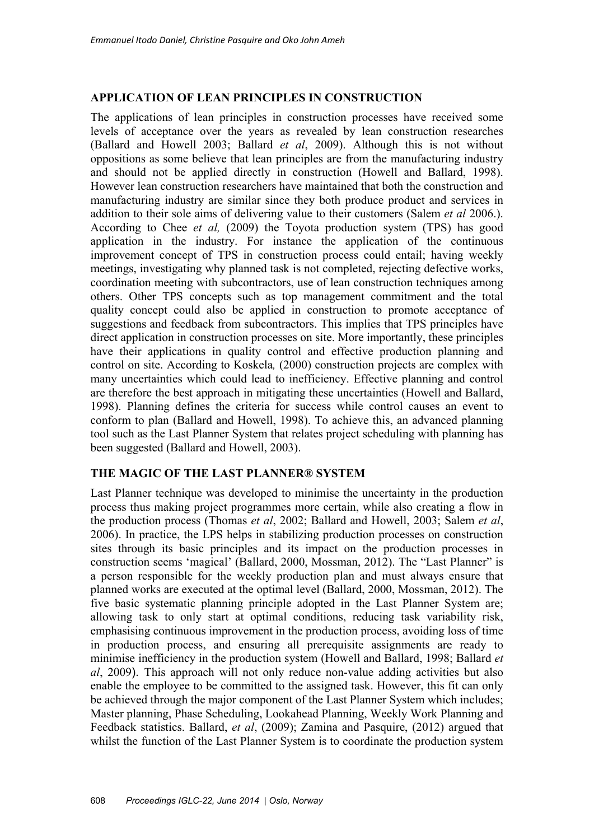#### **APPLICATION OF LEAN PRINCIPLES IN CONSTRUCTION**

The applications of lean principles in construction processes have received some levels of acceptance over the years as revealed by lean construction researches (Ballard and Howell 2003; Ballard *et al*, 2009). Although this is not without oppositions as some believe that lean principles are from the manufacturing industry and should not be applied directly in construction (Howell and Ballard, 1998). However lean construction researchers have maintained that both the construction and manufacturing industry are similar since they both produce product and services in addition to their sole aims of delivering value to their customers (Salem *et al* 2006.). According to Chee *et al,* (2009) the Toyota production system (TPS) has good application in the industry. For instance the application of the continuous improvement concept of TPS in construction process could entail; having weekly meetings, investigating why planned task is not completed, rejecting defective works, coordination meeting with subcontractors, use of lean construction techniques among others. Other TPS concepts such as top management commitment and the total quality concept could also be applied in construction to promote acceptance of suggestions and feedback from subcontractors. This implies that TPS principles have direct application in construction processes on site. More importantly, these principles have their applications in quality control and effective production planning and control on site. According to Koskela*,* (2000) construction projects are complex with many uncertainties which could lead to inefficiency. Effective planning and control are therefore the best approach in mitigating these uncertainties (Howell and Ballard, 1998). Planning defines the criteria for success while control causes an event to conform to plan (Ballard and Howell, 1998). To achieve this, an advanced planning tool such as the Last Planner System that relates project scheduling with planning has been suggested (Ballard and Howell, 2003).

#### **THE MAGIC OF THE LAST PLANNER® SYSTEM**

Last Planner technique was developed to minimise the uncertainty in the production process thus making project programmes more certain, while also creating a flow in the production process (Thomas *et al*, 2002; Ballard and Howell, 2003; Salem *et al*, 2006). In practice, the LPS helps in stabilizing production processes on construction sites through its basic principles and its impact on the production processes in construction seems 'magical' (Ballard, 2000, Mossman, 2012). The "Last Planner" is a person responsible for the weekly production plan and must always ensure that planned works are executed at the optimal level (Ballard, 2000, Mossman, 2012). The five basic systematic planning principle adopted in the Last Planner System are; allowing task to only start at optimal conditions, reducing task variability risk, emphasising continuous improvement in the production process, avoiding loss of time in production process, and ensuring all prerequisite assignments are ready to minimise inefficiency in the production system (Howell and Ballard, 1998; Ballard *et al*, 2009). This approach will not only reduce non-value adding activities but also enable the employee to be committed to the assigned task. However, this fit can only be achieved through the major component of the Last Planner System which includes; Master planning, Phase Scheduling, Lookahead Planning, Weekly Work Planning and Feedback statistics. Ballard, *et al*, (2009); Zamina and Pasquire, (2012) argued that whilst the function of the Last Planner System is to coordinate the production system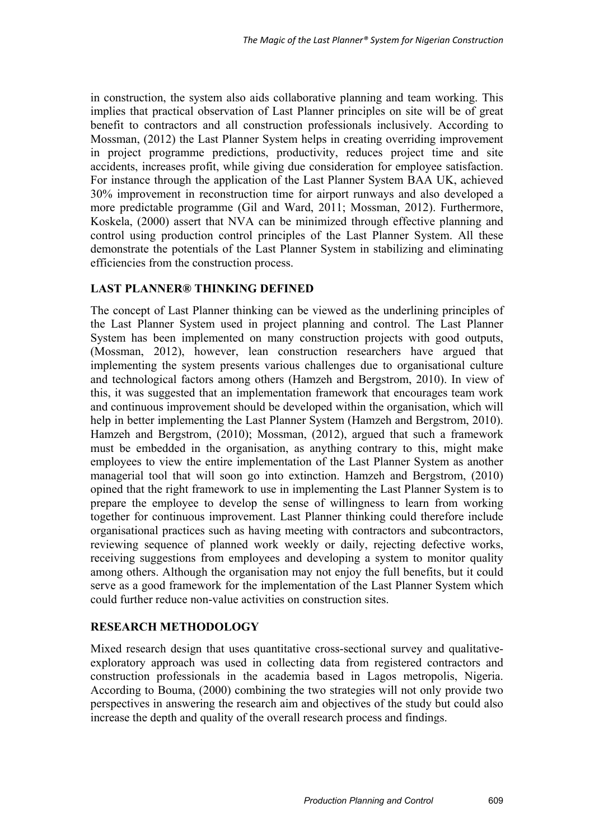in construction, the system also aids collaborative planning and team working. This implies that practical observation of Last Planner principles on site will be of great benefit to contractors and all construction professionals inclusively. According to Mossman, (2012) the Last Planner System helps in creating overriding improvement in project programme predictions, productivity, reduces project time and site accidents, increases profit, while giving due consideration for employee satisfaction. For instance through the application of the Last Planner System BAA UK, achieved 30% improvement in reconstruction time for airport runways and also developed a more predictable programme (Gil and Ward, 2011; Mossman, 2012). Furthermore, Koskela, (2000) assert that NVA can be minimized through effective planning and control using production control principles of the Last Planner System. All these demonstrate the potentials of the Last Planner System in stabilizing and eliminating efficiencies from the construction process.

#### **LAST PLANNER® THINKING DEFINED**

The concept of Last Planner thinking can be viewed as the underlining principles of the Last Planner System used in project planning and control. The Last Planner System has been implemented on many construction projects with good outputs, (Mossman, 2012), however, lean construction researchers have argued that implementing the system presents various challenges due to organisational culture and technological factors among others (Hamzeh and Bergstrom, 2010). In view of this, it was suggested that an implementation framework that encourages team work and continuous improvement should be developed within the organisation, which will help in better implementing the Last Planner System (Hamzeh and Bergstrom, 2010). Hamzeh and Bergstrom, (2010); Mossman, (2012), argued that such a framework must be embedded in the organisation, as anything contrary to this, might make employees to view the entire implementation of the Last Planner System as another managerial tool that will soon go into extinction. Hamzeh and Bergstrom, (2010) opined that the right framework to use in implementing the Last Planner System is to prepare the employee to develop the sense of willingness to learn from working together for continuous improvement. Last Planner thinking could therefore include organisational practices such as having meeting with contractors and subcontractors, reviewing sequence of planned work weekly or daily, rejecting defective works, receiving suggestions from employees and developing a system to monitor quality among others. Although the organisation may not enjoy the full benefits, but it could serve as a good framework for the implementation of the Last Planner System which could further reduce non-value activities on construction sites.

#### **RESEARCH METHODOLOGY**

Mixed research design that uses quantitative cross-sectional survey and qualitativeexploratory approach was used in collecting data from registered contractors and construction professionals in the academia based in Lagos metropolis, Nigeria. According to Bouma, (2000) combining the two strategies will not only provide two perspectives in answering the research aim and objectives of the study but could also increase the depth and quality of the overall research process and findings.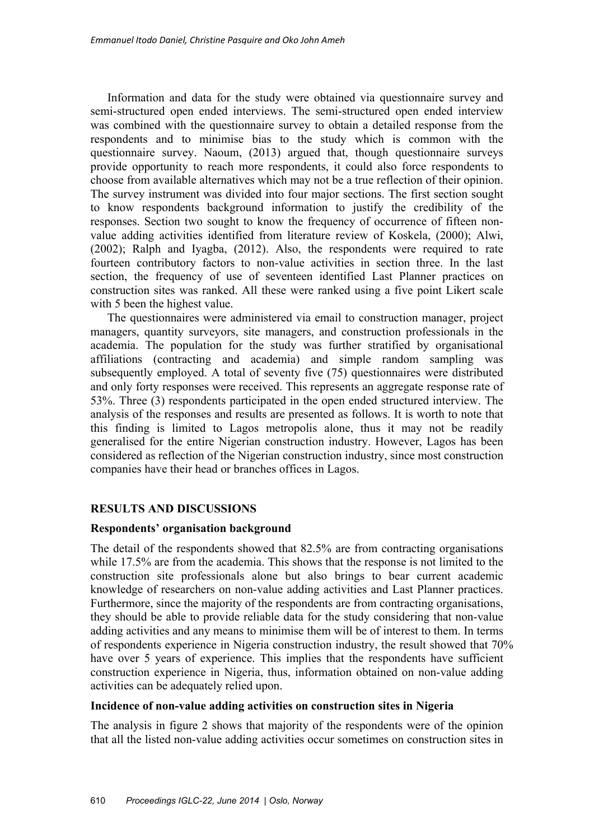Information and data for the study were obtained via questionnaire survey and semi-structured open ended interviews. The semi-structured open ended interview was combined with the questionnaire survey to obtain a detailed response from the respondents and to minimise bias to the study which is common with the questionnaire survey. Naoum, (2013) argued that, though questionnaire surveys provide opportunity to reach more respondents, it could also force respondents to choose from available alternatives which may not be a true reflection of their opinion. The survey instrument was divided into four major sections. The first section sought to know respondents background information to justify the credibility of the responses. Section two sought to know the frequency of occurrence of fifteen nonvalue adding activities identified from literature review of Koskela, (2000); Alwi, (2002); Ralph and Iyagba, (2012). Also, the respondents were required to rate fourteen contributory factors to non-value activities in section three. In the last section, the frequency of use of seventeen identified Last Planner practices on construction sites was ranked. All these were ranked using a five point Likert scale with 5 been the highest value.

The questionnaires were administered via email to construction manager, project managers, quantity surveyors, site managers, and construction professionals in the academia. The population for the study was further stratified by organisational affiliations (contracting and academia) and simple random sampling was subsequently employed. A total of seventy five (75) questionnaires were distributed and only forty responses were received. This represents an aggregate response rate of 53%. Three (3) respondents participated in the open ended structured interview. The analysis of the responses and results are presented as follows. It is worth to note that this finding is limited to Lagos metropolis alone, thus it may not be readily generalised for the entire Nigerian construction industry. However, Lagos has been considered as reflection of the Nigerian construction industry, since most construction companies have their head or branches offices in Lagos.

#### **RESULTS AND DISCUSSIONS**

#### **Respondents' organisation background**

The detail of the respondents showed that 82.5% are from contracting organisations while 17.5% are from the academia. This shows that the response is not limited to the construction site professionals alone but also brings to bear current academic knowledge of researchers on non-value adding activities and Last Planner practices. Furthermore, since the majority of the respondents are from contracting organisations, they should be able to provide reliable data for the study considering that non-value adding activities and any means to minimise them will be of interest to them. In terms of respondents experience in Nigeria construction industry, the result showed that 70% have over 5 years of experience. This implies that the respondents have sufficient construction experience in Nigeria, thus, information obtained on non-value adding activities can be adequately relied upon.

#### **Incidence of non-value adding activities on construction sites in Nigeria**

The analysis in figure 2 shows that majority of the respondents were of the opinion that all the listed non-value adding activities occur sometimes on construction sites in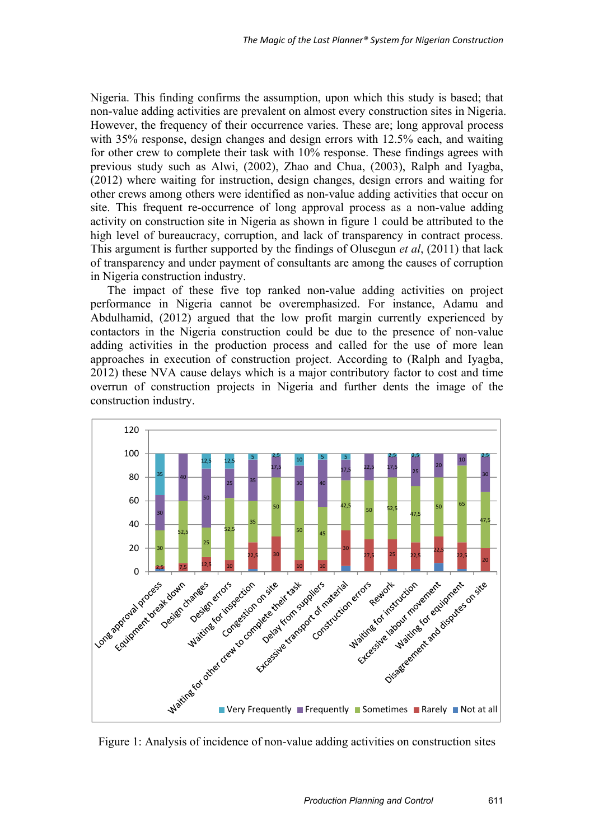Nigeria. This finding confirms the assumption, upon which this study is based; that non-value adding activities are prevalent on almost every construction sites in Nigeria. However, the frequency of their occurrence varies. These are; long approval process with 35% response, design changes and design errors with 12.5% each, and waiting for other crew to complete their task with 10% response. These findings agrees with previous study such as Alwi, (2002), Zhao and Chua, (2003), Ralph and Iyagba, (2012) where waiting for instruction, design changes, design errors and waiting for other crews among others were identified as non-value adding activities that occur on site. This frequent re-occurrence of long approval process as a non-value adding activity on construction site in Nigeria as shown in figure 1 could be attributed to the high level of bureaucracy, corruption, and lack of transparency in contract process. This argument is further supported by the findings of Olusegun *et al*, (2011) that lack of transparency and under payment of consultants are among the causes of corruption in Nigeria construction industry.

The impact of these five top ranked non-value adding activities on project performance in Nigeria cannot be overemphasized. For instance, Adamu and Abdulhamid, (2012) argued that the low profit margin currently experienced by contactors in the Nigeria construction could be due to the presence of non-value adding activities in the production process and called for the use of more lean approaches in execution of construction project. According to (Ralph and Iyagba, 2012) these NVA cause delays which is a major contributory factor to cost and time overrun of construction projects in Nigeria and further dents the image of the construction industry.



Figure 1: Analysis of incidence of non-value adding activities on construction sites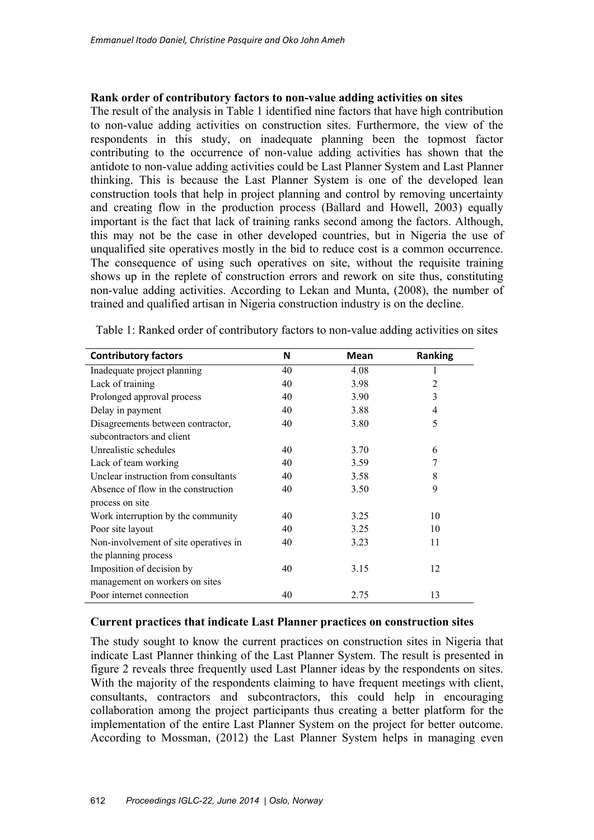#### **Rank order of contributory factors to non-value adding activities on sites**

The result of the analysis in Table 1 identified nine factors that have high contribution to non-value adding activities on construction sites. Furthermore, the view of the respondents in this study, on inadequate planning been the topmost factor contributing to the occurrence of non-value adding activities has shown that the antidote to non-value adding activities could be Last Planner System and Last Planner thinking. This is because the Last Planner System is one of the developed lean construction tools that help in project planning and control by removing uncertainty and creating flow in the production process (Ballard and Howell, 2003) equally important is the fact that lack of training ranks second among the factors. Although, this may not be the case in other developed countries, but in Nigeria the use of unqualified site operatives mostly in the bid to reduce cost is a common occurrence. The consequence of using such operatives on site, without the requisite training shows up in the replete of construction errors and rework on site thus, constituting non-value adding activities. According to Lekan and Munta, (2008), the number of trained and qualified artisan in Nigeria construction industry is on the decline.

| <b>Contributory factors</b>           | N  | <b>Mean</b> | <b>Ranking</b> |
|---------------------------------------|----|-------------|----------------|
| Inadequate project planning           | 40 | 4.08        | <b>I</b>       |
| Lack of training                      | 40 | 3.98        | $\overline{2}$ |
| Prolonged approval process            | 40 | 3.90        | 3              |
| Delay in payment                      | 40 | 3.88        | $\overline{4}$ |
| Disagreements between contractor,     | 40 | 3.80        | 5              |
| subcontractors and client             |    |             |                |
| Unrealistic schedules                 | 40 | 3.70        | 6              |
| Lack of team working                  | 40 | 3.59        | 7              |
| Unclear instruction from consultants  | 40 | 3.58        | 8              |
| Absence of flow in the construction   | 40 | 3.50        | 9              |
| process on site                       |    |             |                |
| Work interruption by the community    | 40 | 3.25        | 10             |
| Poor site layout                      | 40 | 3.25        | 10             |
| Non-involvement of site operatives in | 40 | 3.23        | 11             |
| the planning process                  |    |             |                |
| Imposition of decision by             | 40 | 3.15        | 12             |
| management on workers on sites        |    |             |                |
| Poor internet connection              | 40 | 2.75        | 13             |

Table 1: Ranked order of contributory factors to non-value adding activities on sites

## **Current practices that indicate Last Planner practices on construction sites**

The study sought to know the current practices on construction sites in Nigeria that indicate Last Planner thinking of the Last Planner System. The result is presented in figure 2 reveals three frequently used Last Planner ideas by the respondents on sites. With the majority of the respondents claiming to have frequent meetings with client, consultants, contractors and subcontractors, this could help in encouraging collaboration among the project participants thus creating a better platform for the implementation of the entire Last Planner System on the project for better outcome. According to Mossman, (2012) the Last Planner System helps in managing even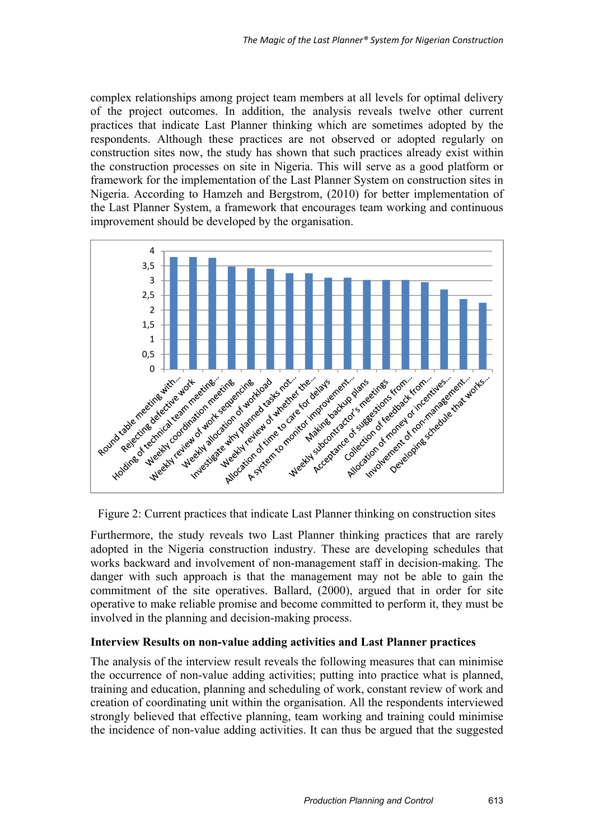complex relationships among project team members at all levels for optimal delivery of the project outcomes. In addition, the analysis reveals twelve other current practices that indicate Last Planner thinking which are sometimes adopted by the respondents. Although these practices are not observed or adopted regularly on construction sites now, the study has shown that such practices already exist within the construction processes on site in Nigeria. This will serve as a good platform or framework for the implementation of the Last Planner System on construction sites in Nigeria. According to Hamzeh and Bergstrom, (2010) for better implementation of the Last Planner System, a framework that encourages team working and continuous improvement should be developed by the organisation.



Figure 2: Current practices that indicate Last Planner thinking on construction sites

Furthermore, the study reveals two Last Planner thinking practices that are rarely adopted in the Nigeria construction industry. These are developing schedules that works backward and involvement of non-management staff in decision-making. The danger with such approach is that the management may not be able to gain the commitment of the site operatives. Ballard, (2000), argued that in order for site operative to make reliable promise and become committed to perform it, they must be involved in the planning and decision-making process.

#### **Interview Results on non-value adding activities and Last Planner practices**

The analysis of the interview result reveals the following measures that can minimise the occurrence of non-value adding activities; putting into practice what is planned, training and education, planning and scheduling of work, constant review of work and creation of coordinating unit within the organisation. All the respondents interviewed strongly believed that effective planning, team working and training could minimise the incidence of non-value adding activities. It can thus be argued that the suggested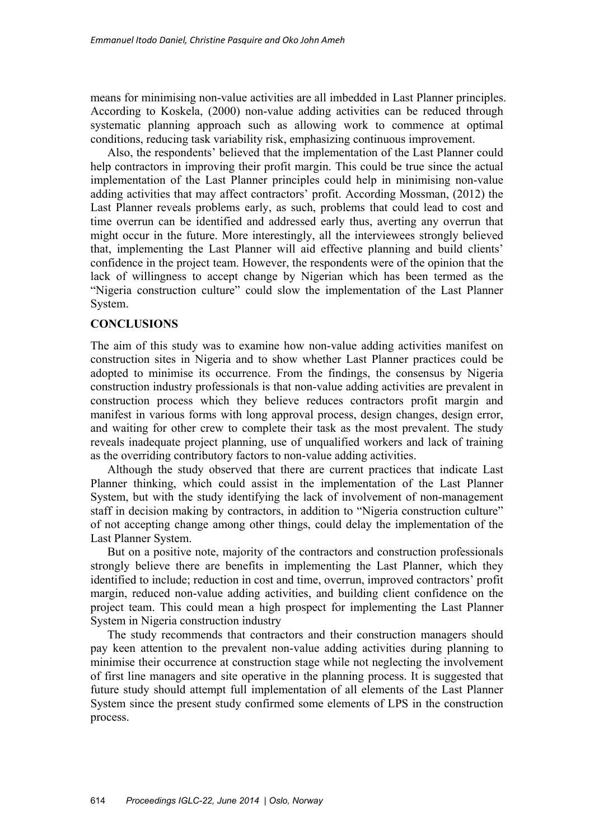means for minimising non-value activities are all imbedded in Last Planner principles. According to Koskela, (2000) non-value adding activities can be reduced through systematic planning approach such as allowing work to commence at optimal conditions, reducing task variability risk, emphasizing continuous improvement.

Also, the respondents' believed that the implementation of the Last Planner could help contractors in improving their profit margin. This could be true since the actual implementation of the Last Planner principles could help in minimising non-value adding activities that may affect contractors' profit. According Mossman, (2012) the Last Planner reveals problems early, as such, problems that could lead to cost and time overrun can be identified and addressed early thus, averting any overrun that might occur in the future. More interestingly, all the interviewees strongly believed that, implementing the Last Planner will aid effective planning and build clients' confidence in the project team. However, the respondents were of the opinion that the lack of willingness to accept change by Nigerian which has been termed as the "Nigeria construction culture" could slow the implementation of the Last Planner System.

#### **CONCLUSIONS**

The aim of this study was to examine how non-value adding activities manifest on construction sites in Nigeria and to show whether Last Planner practices could be adopted to minimise its occurrence. From the findings, the consensus by Nigeria construction industry professionals is that non-value adding activities are prevalent in construction process which they believe reduces contractors profit margin and manifest in various forms with long approval process, design changes, design error, and waiting for other crew to complete their task as the most prevalent. The study reveals inadequate project planning, use of unqualified workers and lack of training as the overriding contributory factors to non-value adding activities.

Although the study observed that there are current practices that indicate Last Planner thinking, which could assist in the implementation of the Last Planner System, but with the study identifying the lack of involvement of non-management staff in decision making by contractors, in addition to "Nigeria construction culture" of not accepting change among other things, could delay the implementation of the Last Planner System.

But on a positive note, majority of the contractors and construction professionals strongly believe there are benefits in implementing the Last Planner, which they identified to include; reduction in cost and time, overrun, improved contractors' profit margin, reduced non-value adding activities, and building client confidence on the project team. This could mean a high prospect for implementing the Last Planner System in Nigeria construction industry

The study recommends that contractors and their construction managers should pay keen attention to the prevalent non-value adding activities during planning to minimise their occurrence at construction stage while not neglecting the involvement of first line managers and site operative in the planning process. It is suggested that future study should attempt full implementation of all elements of the Last Planner System since the present study confirmed some elements of LPS in the construction process.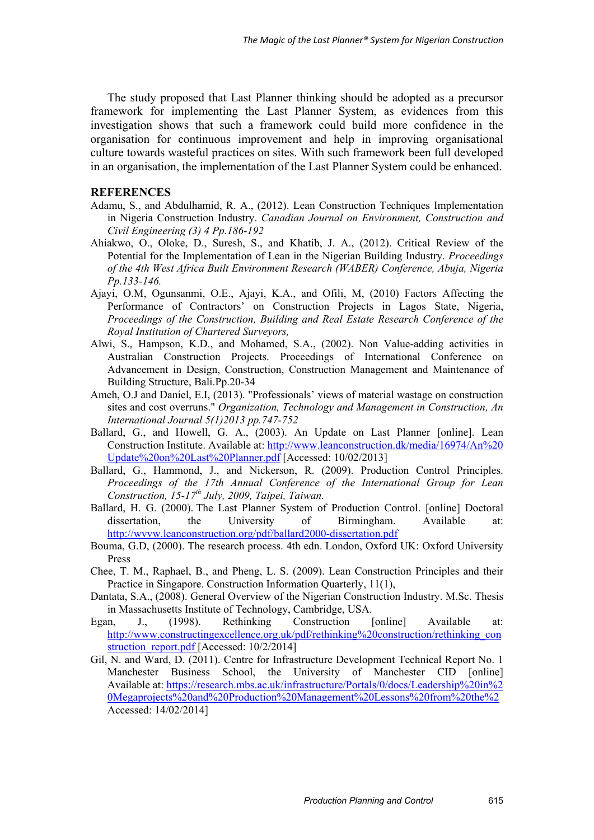The study proposed that Last Planner thinking should be adopted as a precursor framework for implementing the Last Planner System, as evidences from this investigation shows that such a framework could build more confidence in the organisation for continuous improvement and help in improving organisational culture towards wasteful practices on sites. With such framework been full developed in an organisation, the implementation of the Last Planner System could be enhanced.

#### **REFERENCES**

- Adamu, S., and Abdulhamid, R. A., (2012). Lean Construction Techniques Implementation in Nigeria Construction Industry. *Canadian Journal on Environment, Construction and Civil Engineering (3) 4 Pp.186-192*
- Ahiakwo, O., Oloke, D., Suresh, S., and Khatib, J. A., (2012). Critical Review of the Potential for the Implementation of Lean in the Nigerian Building Industry. *Proceedings of the 4th West Africa Built Environment Research (WABER) Conference, Abuja, Nigeria Pp.133-146.*
- Ajayi, O.M, Ogunsanmi, O.E., Ajayi, K.A., and Ofili, M, (2010) Factors Affecting the Performance of Contractors' on Construction Projects in Lagos State, Nigeria, *Proceedings of the Construction, Building and Real Estate Research Conference of the Royal Institution of Chartered Surveyors,*
- Alwi, S., Hampson, K.D., and Mohamed, S.A., (2002). Non Value-adding activities in Australian Construction Projects. Proceedings of International Conference on Advancement in Design, Construction, Construction Management and Maintenance of Building Structure, Bali.Pp.20-34
- Ameh, O.J and Daniel, E.I, (2013). "Professionals' views of material wastage on construction sites and cost overruns." *Organization, Technology and Management in Construction, An International Journal 5(1)2013 pp.747-752*
- Ballard, G., and Howell, G. A., (2003). An Update on Last Planner [online]. Lean Construction Institute. Available at: http://www.leanconstruction.dk/media/16974/An%20 Update%20on%20Last%20Planner.pdf [Accessed: 10/02/2013]
- Ballard, G., Hammond, J., and Nickerson, R. (2009). Production Control Principles. *Proceedings of the 17th Annual Conference of the International Group for Lean Construction, 15-17th July, 2009, Taipei, Taiwan.*
- Ballard, H. G. (2000). The Last Planner System of Production Control. [online] Doctoral dissertation, the University of Birmingham. Available at: http://wvvw.leanconstruction.org/pdf/ballard2000-dissertation.pdf
- Bouma, G.D, (2000). The research process. 4th edn. London, Oxford UK: Oxford University Press
- Chee, T. M., Raphael, B., and Pheng, L. S. (2009). Lean Construction Principles and their Practice in Singapore. Construction Information Quarterly, 11(1),
- Dantata, S.A., (2008). General Overview of the Nigerian Construction Industry. M.Sc. Thesis in Massachusetts Institute of Technology, Cambridge, USA.
- Egan, J., (1998). Rethinking Construction [online] Available at: http://www.constructingexcellence.org.uk/pdf/rethinking%20construction/rethinking\_con struction\_report.pdf [Accessed: 10/2/2014]
- Gil, N. and Ward, D. (2011). Centre for Infrastructure Development Technical Report No. 1 Manchester Business School, the University of Manchester CID [online] Available at: https://research.mbs.ac.uk/infrastructure/Portals/0/docs/Leadership%20in%2 0Megaprojects%20and%20Production%20Management%20Lessons%20from%20the%2 Accessed: 14/02/2014]